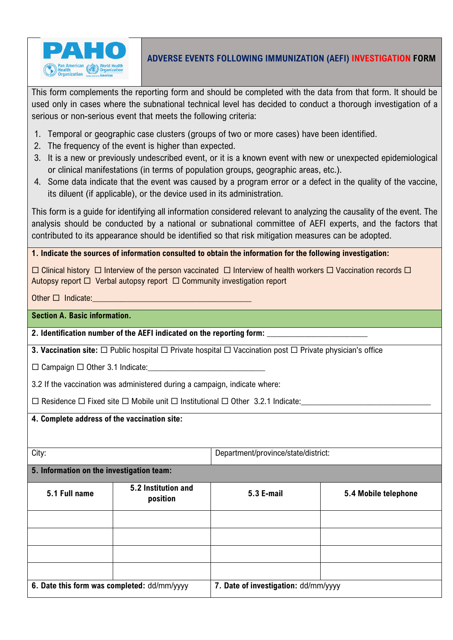

### **ADVERSE EVENTS FOLLOWING IMMUNIZATION (AEFI) INVESTIGATION FORM**

This form complements the reporting form and should be completed with the data from that form. It should be used only in cases where the subnational technical level has decided to conduct a thorough investigation of a serious or non-serious event that meets the following criteria:

- 1. Temporal or geographic case clusters (groups of two or more cases) have been identified.
- 2. The frequency of the event is higher than expected.
- 3. It is a new or previously undescribed event, or it is a known event with new or unexpected epidemiological or clinical manifestations (in terms of population groups, geographic areas, etc.).
- 4. Some data indicate that the event was caused by a program error or a defect in the quality of the vaccine, its diluent (if applicable), or the device used in its administration.

This form is a guide for identifying all information considered relevant to analyzing the causality of the event. The analysis should be conducted by a national or subnational committee of AEFI experts, and the factors that contributed to its appearance should be identified so that risk mitigation measures can be adopted.

**1. Indicate the sources of information consulted to obtain the information for the following investigation:**

 $\Box$  Clinical history  $\Box$  Interview of the person vaccinated  $\Box$  Interview of health workers  $\Box$  Vaccination records  $\Box$ Autopsy report  $\Box$  Verbal autopsy report  $\Box$  Community investigation report

Other  $\Box$  Indicate:

### **Section A. Basic information.**

**2. Identification number of the AEFI indicated on the reporting form: \_\_\_\_\_\_\_\_\_\_\_\_\_\_\_\_\_\_\_\_\_\_\_\_**

**3. Vaccination site:** □ Public hospital □ Private hospital □ Vaccination post □ Private physician's office

 $\square$  Campaign  $\square$  Other 3.1 Indicate:

3.2 If the vaccination was administered during a campaign, indicate where:

 $\Box$  Residence  $\Box$  Fixed site  $\Box$  Mobile unit  $\Box$  Institutional  $\Box$  Other 3.2.1 Indicate:

#### **4. Complete address of the vaccination site:**

City: Department/province/state/district:

**5. Information on the investigation team:**

| 5.1 Full name                               | 5.2 Institution and<br>position | <b>5.3 E-mail</b>                    | 5.4 Mobile telephone |
|---------------------------------------------|---------------------------------|--------------------------------------|----------------------|
|                                             |                                 |                                      |                      |
|                                             |                                 |                                      |                      |
|                                             |                                 |                                      |                      |
|                                             |                                 |                                      |                      |
| 6. Date this form was completed: dd/mm/yyyy |                                 | 7. Date of investigation: dd/mm/yyyy |                      |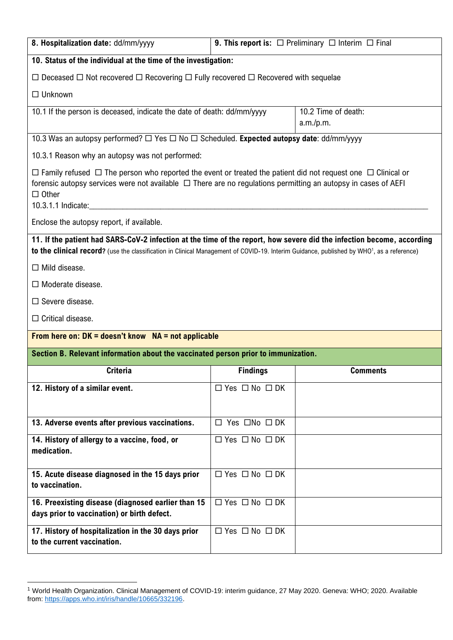| 8. Hospitalization date: dd/mm/yyyy                                                                                                                                                                                                                                                                                                                                                                                                                                                                         |                                | <b>9. This report is:</b> $\Box$ Preliminary $\Box$ Interim $\Box$ Final |  |
|-------------------------------------------------------------------------------------------------------------------------------------------------------------------------------------------------------------------------------------------------------------------------------------------------------------------------------------------------------------------------------------------------------------------------------------------------------------------------------------------------------------|--------------------------------|--------------------------------------------------------------------------|--|
| 10. Status of the individual at the time of the investigation:                                                                                                                                                                                                                                                                                                                                                                                                                                              |                                |                                                                          |  |
| $\Box$ Deceased $\Box$ Not recovered $\Box$ Recovering $\Box$ Fully recovered $\Box$ Recovered with sequelae                                                                                                                                                                                                                                                                                                                                                                                                |                                |                                                                          |  |
| $\Box$ Unknown                                                                                                                                                                                                                                                                                                                                                                                                                                                                                              |                                |                                                                          |  |
| 10.1 If the person is deceased, indicate the date of death: dd/mm/yyyy                                                                                                                                                                                                                                                                                                                                                                                                                                      |                                | 10.2 Time of death:<br>a.m./p.m.                                         |  |
| 10.3 Was an autopsy performed? $\Box$ Yes $\Box$ No $\Box$ Scheduled. Expected autopsy date: dd/mm/yyyy                                                                                                                                                                                                                                                                                                                                                                                                     |                                |                                                                          |  |
| 10.3.1 Reason why an autopsy was not performed:                                                                                                                                                                                                                                                                                                                                                                                                                                                             |                                |                                                                          |  |
| $\Box$ Family refused $\Box$ The person who reported the event or treated the patient did not request one $\Box$ Clinical or<br>forensic autopsy services were not available $\Box$ There are no regulations permitting an autopsy in cases of AEFI<br>$\Box$ Other<br>10.3.1.1 Indicate: <u>contract and a series of the series of the series of the series of the series of the series of the series of the series of the series of the series of the series of the series of the series of the serie</u> |                                |                                                                          |  |
| Enclose the autopsy report, if available.                                                                                                                                                                                                                                                                                                                                                                                                                                                                   |                                |                                                                          |  |
| 11. If the patient had SARS-CoV-2 infection at the time of the report, how severe did the infection become, according<br>to the clinical record? (use the classification in Clinical Management of COVID-19. Interim Guidance, published by WHO <sup>1</sup> , as a reference)                                                                                                                                                                                                                              |                                |                                                                          |  |
| $\Box$ Mild disease.                                                                                                                                                                                                                                                                                                                                                                                                                                                                                        |                                |                                                                          |  |
| $\Box$ Moderate disease.                                                                                                                                                                                                                                                                                                                                                                                                                                                                                    |                                |                                                                          |  |
| $\Box$ Severe disease.                                                                                                                                                                                                                                                                                                                                                                                                                                                                                      |                                |                                                                          |  |
| $\Box$ Critical disease.                                                                                                                                                                                                                                                                                                                                                                                                                                                                                    |                                |                                                                          |  |
| From here on: $DK = doesn't know NA = not applicable$                                                                                                                                                                                                                                                                                                                                                                                                                                                       |                                |                                                                          |  |
| Section B. Relevant information about the vaccinated person prior to immunization.                                                                                                                                                                                                                                                                                                                                                                                                                          |                                |                                                                          |  |
| <b>Criteria</b>                                                                                                                                                                                                                                                                                                                                                                                                                                                                                             | <b>Findings</b>                | <b>Comments</b>                                                          |  |
| 12. History of a similar event.                                                                                                                                                                                                                                                                                                                                                                                                                                                                             | $\Box$ Yes $\Box$ No $\Box$ DK |                                                                          |  |
| 13. Adverse events after previous vaccinations.                                                                                                                                                                                                                                                                                                                                                                                                                                                             | $\Box$ Yes $\Box$ No $\Box$ DK |                                                                          |  |
| 14. History of allergy to a vaccine, food, or<br>medication.                                                                                                                                                                                                                                                                                                                                                                                                                                                | $\Box$ Yes $\Box$ No $\Box$ DK |                                                                          |  |
| 15. Acute disease diagnosed in the 15 days prior<br>to vaccination.                                                                                                                                                                                                                                                                                                                                                                                                                                         | $\Box$ Yes $\Box$ No $\Box$ DK |                                                                          |  |
| 16. Preexisting disease (diagnosed earlier than 15<br>days prior to vaccination) or birth defect.                                                                                                                                                                                                                                                                                                                                                                                                           | $\Box$ Yes $\Box$ No $\Box$ DK |                                                                          |  |
| 17. History of hospitalization in the 30 days prior<br>to the current vaccination.                                                                                                                                                                                                                                                                                                                                                                                                                          | $\Box$ Yes $\Box$ No $\Box$ DK |                                                                          |  |

<sup>1</sup> World Health Organization. Clinical Management of COVID-19: interim guidance, 27 May 2020. Geneva: WHO; 2020. Available from: [https://apps.who.int/iris/handle/10665/332196.](https://apps.who.int/iris/handle/10665/332196)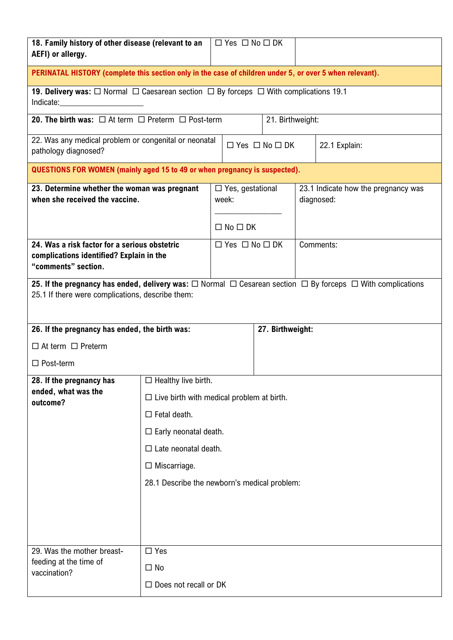| 18. Family history of other disease (relevant to an<br>AEFI) or allergy.                                                                                                                                                                                                                                                                   |                                                  |                                  | $\Box$ Yes $\Box$ No $\Box$ DK |                  |                                                   |                                                                                                                                 |
|--------------------------------------------------------------------------------------------------------------------------------------------------------------------------------------------------------------------------------------------------------------------------------------------------------------------------------------------|--------------------------------------------------|----------------------------------|--------------------------------|------------------|---------------------------------------------------|---------------------------------------------------------------------------------------------------------------------------------|
| PERINATAL HISTORY (complete this section only in the case of children under 5, or over 5 when relevant).                                                                                                                                                                                                                                   |                                                  |                                  |                                |                  |                                                   |                                                                                                                                 |
| 19. Delivery was: $\Box$ Normal $\Box$ Caesarean section $\Box$ By forceps $\Box$ With complications 19.1<br>Indicate: and the state of the state of the state of the state of the state of the state of the state of the state of the state of the state of the state of the state of the state of the state of the state of the state of |                                                  |                                  |                                |                  |                                                   |                                                                                                                                 |
| <b>20. The birth was:</b> $\Box$ At term $\Box$ Preterm $\Box$ Post-term                                                                                                                                                                                                                                                                   |                                                  |                                  |                                | 21. Birthweight: |                                                   |                                                                                                                                 |
| 22. Was any medical problem or congenital or neonatal<br>pathology diagnosed?                                                                                                                                                                                                                                                              |                                                  |                                  | $\Box$ Yes $\Box$ No $\Box$ DK |                  |                                                   | 22.1 Explain:                                                                                                                   |
| QUESTIONS FOR WOMEN (mainly aged 15 to 49 or when pregnancy is suspected).                                                                                                                                                                                                                                                                 |                                                  |                                  |                                |                  |                                                   |                                                                                                                                 |
| 23. Determine whether the woman was pregnant<br>when she received the vaccine.                                                                                                                                                                                                                                                             |                                                  | $\Box$ Yes, gestational<br>week: |                                |                  | 23.1 Indicate how the pregnancy was<br>diagnosed: |                                                                                                                                 |
|                                                                                                                                                                                                                                                                                                                                            |                                                  |                                  | $\Box$ No $\Box$ DK            |                  |                                                   |                                                                                                                                 |
| 24. Was a risk factor for a serious obstetric<br>complications identified? Explain in the<br>"comments" section.                                                                                                                                                                                                                           |                                                  |                                  | $\Box$ Yes $\Box$ No $\Box$ DK |                  |                                                   | Comments:                                                                                                                       |
| 25.1 If there were complications, describe them:                                                                                                                                                                                                                                                                                           |                                                  |                                  |                                |                  |                                                   | 25. If the pregnancy has ended, delivery was: $\Box$ Normal $\Box$ Cesarean section $\Box$ By forceps $\Box$ With complications |
| 26. If the pregnancy has ended, the birth was:<br>27. Birthweight:                                                                                                                                                                                                                                                                         |                                                  |                                  |                                |                  |                                                   |                                                                                                                                 |
| $\Box$ At term $\Box$ Preterm                                                                                                                                                                                                                                                                                                              |                                                  |                                  |                                |                  |                                                   |                                                                                                                                 |
| $\Box$ Post-term                                                                                                                                                                                                                                                                                                                           |                                                  |                                  |                                |                  |                                                   |                                                                                                                                 |
| 28. If the pregnancy has<br>ended, what was the                                                                                                                                                                                                                                                                                            | $\Box$ Healthy live birth.                       |                                  |                                |                  |                                                   |                                                                                                                                 |
| outcome?                                                                                                                                                                                                                                                                                                                                   | $\Box$ Live birth with medical problem at birth. |                                  |                                |                  |                                                   |                                                                                                                                 |
|                                                                                                                                                                                                                                                                                                                                            | $\Box$ Fetal death.                              |                                  |                                |                  |                                                   |                                                                                                                                 |
|                                                                                                                                                                                                                                                                                                                                            | $\Box$ Early neonatal death.                     |                                  |                                |                  |                                                   |                                                                                                                                 |
| $\Box$ Late neonatal death.                                                                                                                                                                                                                                                                                                                |                                                  |                                  |                                |                  |                                                   |                                                                                                                                 |
| $\Box$ Miscarriage.<br>28.1 Describe the newborn's medical problem:                                                                                                                                                                                                                                                                        |                                                  |                                  |                                |                  |                                                   |                                                                                                                                 |
|                                                                                                                                                                                                                                                                                                                                            |                                                  |                                  |                                |                  |                                                   |                                                                                                                                 |
|                                                                                                                                                                                                                                                                                                                                            |                                                  |                                  |                                |                  |                                                   |                                                                                                                                 |
|                                                                                                                                                                                                                                                                                                                                            |                                                  |                                  |                                |                  |                                                   |                                                                                                                                 |
| 29. Was the mother breast-                                                                                                                                                                                                                                                                                                                 | $\Box$ Yes                                       |                                  |                                |                  |                                                   |                                                                                                                                 |
| feeding at the time of<br>vaccination?                                                                                                                                                                                                                                                                                                     | $\Box$ No                                        |                                  |                                |                  |                                                   |                                                                                                                                 |
|                                                                                                                                                                                                                                                                                                                                            | $\Box$ Does not recall or DK                     |                                  |                                |                  |                                                   |                                                                                                                                 |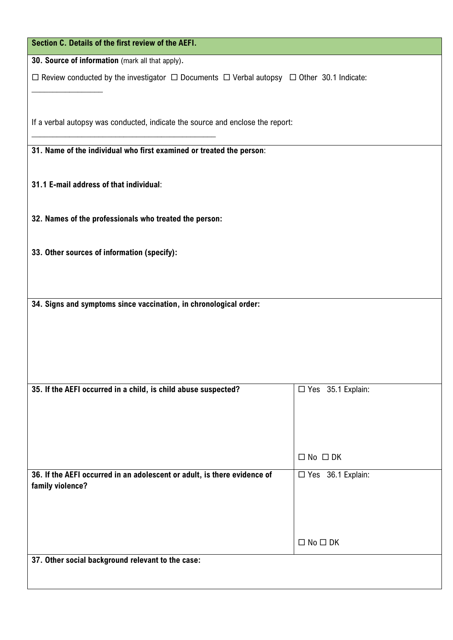| Section C. Details of the first review of the AEFI.                                                            |                     |
|----------------------------------------------------------------------------------------------------------------|---------------------|
| 30. Source of information (mark all that apply).                                                               |                     |
| $\Box$ Review conducted by the investigator $\Box$ Documents $\Box$ Verbal autopsy $\Box$ Other 30.1 Indicate: |                     |
|                                                                                                                |                     |
|                                                                                                                |                     |
| If a verbal autopsy was conducted, indicate the source and enclose the report:                                 |                     |
| 31. Name of the individual who first examined or treated the person:                                           |                     |
|                                                                                                                |                     |
| 31.1 E-mail address of that individual:                                                                        |                     |
|                                                                                                                |                     |
| 32. Names of the professionals who treated the person:                                                         |                     |
|                                                                                                                |                     |
| 33. Other sources of information (specify):                                                                    |                     |
|                                                                                                                |                     |
|                                                                                                                |                     |
| 34. Signs and symptoms since vaccination, in chronological order:                                              |                     |
|                                                                                                                |                     |
|                                                                                                                |                     |
|                                                                                                                |                     |
|                                                                                                                |                     |
| 35. If the AEFI occurred in a child, is child abuse suspected?                                                 | □ Yes 35.1 Explain: |
|                                                                                                                |                     |
|                                                                                                                |                     |
|                                                                                                                |                     |
|                                                                                                                | $\Box$ No $\Box$ DK |
| 36. If the AEFI occurred in an adolescent or adult, is there evidence of<br>family violence?                   | □ Yes 36.1 Explain: |
|                                                                                                                |                     |
|                                                                                                                |                     |
|                                                                                                                | $\Box$ No $\Box$ DK |
| 37. Other social background relevant to the case:                                                              |                     |
|                                                                                                                |                     |
|                                                                                                                |                     |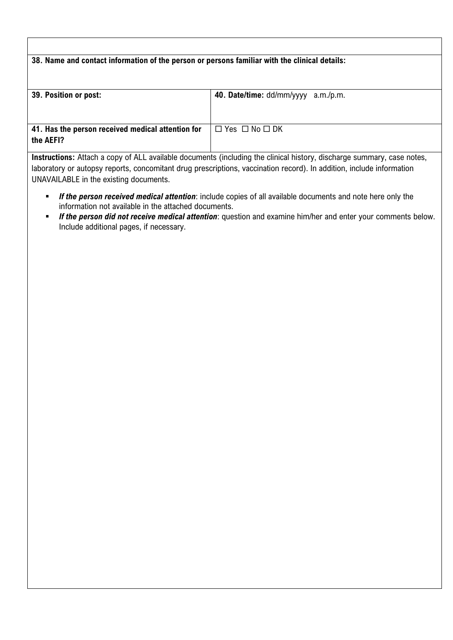# **38. Name and contact information of the person or persons familiar with the clinical details: 39. Position or post: 40. Date/time:** dd/mm/yyyy a.m./p.m. **41. Has the person received medical attention for the AEFI?**  $\Box$  Yes  $\Box$  No  $\Box$  DK

**Instructions:** Attach a copy of ALL available documents (including the clinical history, discharge summary, case notes, laboratory or autopsy reports, concomitant drug prescriptions, vaccination record). In addition, include information UNAVAILABLE in the existing documents.

- *If the person received medical attention*: include copies of all available documents and note here only the information not available in the attached documents.
- *If the person did not receive medical attention*: question and examine him/her and enter your comments below. Include additional pages, if necessary.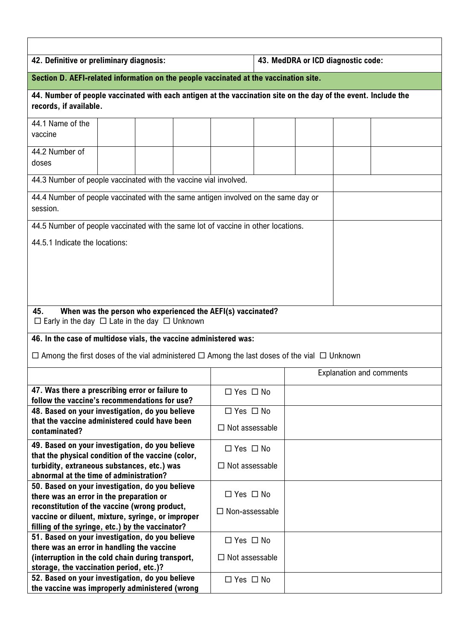| 42. Definitive or preliminary diagnosis:                                                                                                 |                       | 43. MedDRA or ICD diagnostic code: |  |  |
|------------------------------------------------------------------------------------------------------------------------------------------|-----------------------|------------------------------------|--|--|
| Section D. AEFI-related information on the people vaccinated at the vaccination site.                                                    |                       |                                    |  |  |
| 44. Number of people vaccinated with each antigen at the vaccination site on the day of the event. Include the<br>records, if available. |                       |                                    |  |  |
| 44.1 Name of the<br>vaccine                                                                                                              |                       |                                    |  |  |
| 44.2 Number of<br>doses                                                                                                                  |                       |                                    |  |  |
| 44.3 Number of people vaccinated with the vaccine vial involved.                                                                         |                       |                                    |  |  |
| 44.4 Number of people vaccinated with the same antigen involved on the same day or<br>session.                                           |                       |                                    |  |  |
| 44.5 Number of people vaccinated with the same lot of vaccine in other locations.                                                        |                       |                                    |  |  |
| 44.5.1 Indicate the locations:                                                                                                           |                       |                                    |  |  |
|                                                                                                                                          |                       |                                    |  |  |
|                                                                                                                                          |                       |                                    |  |  |
| When was the person who experienced the AEFI(s) vaccinated?<br>45.<br>$\Box$ Early in the day $\Box$ Late in the day $\Box$ Unknown      |                       |                                    |  |  |
| 46. In the case of multidose vials, the vaccine administered was:                                                                        |                       |                                    |  |  |
| $\Box$ Among the first doses of the vial administered $\Box$ Among the last doses of the vial $\Box$ Unknown                             |                       |                                    |  |  |
|                                                                                                                                          |                       | <b>Explanation and comments</b>    |  |  |
| 47. Was there a prescribing error or failure to<br>follow the vaccine's recommendations for use?                                         | $\Box$ Yes $\Box$ No  |                                    |  |  |
| 48. Based on your investigation, do you believe                                                                                          | $\Box$ Yes $\Box$ No  |                                    |  |  |
| that the vaccine administered could have been<br>contaminated?                                                                           | $\Box$ Not assessable |                                    |  |  |
| 49. Based on your investigation, do you believe                                                                                          | $\Box$ Yes $\Box$ No  |                                    |  |  |
| that the physical condition of the vaccine (color,<br>turbidity, extraneous substances, etc.) was                                        | $\Box$ Not assessable |                                    |  |  |
| abnormal at the time of administration?                                                                                                  |                       |                                    |  |  |
| 50. Based on your investigation, do you believe                                                                                          |                       |                                    |  |  |
| there was an error in the preparation or                                                                                                 | $\Box$ Yes $\Box$ No  |                                    |  |  |
| reconstitution of the vaccine (wrong product,<br>vaccine or diluent, mixture, syringe, or improper                                       | $\Box$ Non-assessable |                                    |  |  |
| filling of the syringe, etc.) by the vaccinator?                                                                                         |                       |                                    |  |  |
| 51. Based on your investigation, do you believe                                                                                          | $\Box$ Yes $\Box$ No  |                                    |  |  |
| there was an error in handling the vaccine                                                                                               |                       |                                    |  |  |
| (interruption in the cold chain during transport,                                                                                        | $\Box$ Not assessable |                                    |  |  |
| storage, the vaccination period, etc.)?<br>52. Based on your investigation, do you believe                                               | $\Box$ Yes $\Box$ No  |                                    |  |  |
| the vaccine was improperly administered (wrong                                                                                           |                       |                                    |  |  |

 $\mathsf{r}$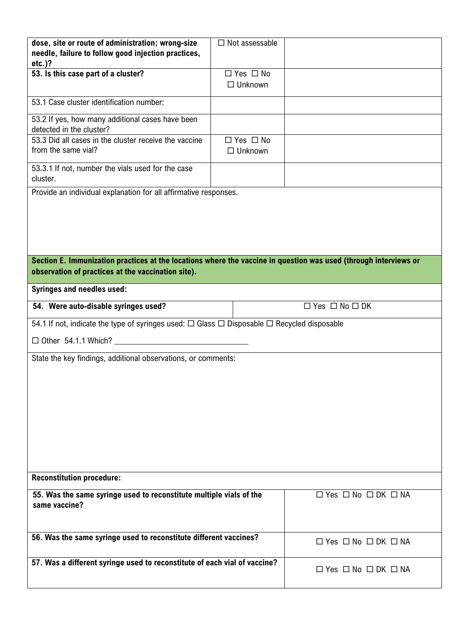| dose, site or route of administration; wrong-size<br>needle, failure to follow good injection practices,<br>$etc.$ )?                                                  | $\Box$ Not assessable                  |                                          |
|------------------------------------------------------------------------------------------------------------------------------------------------------------------------|----------------------------------------|------------------------------------------|
| 53. Is this case part of a cluster?                                                                                                                                    | $\Box$ Yes $\Box$ No<br>$\Box$ Unknown |                                          |
| 53.1 Case cluster identification number:                                                                                                                               |                                        |                                          |
| 53.2 If yes, how many additional cases have been<br>detected in the cluster?                                                                                           |                                        |                                          |
| 53.3 Did all cases in the cluster receive the vaccine<br>from the same vial?                                                                                           | $\Box$ Yes $\Box$ No<br>$\Box$ Unknown |                                          |
| 53.3.1 If not, number the vials used for the case<br>cluster.                                                                                                          |                                        |                                          |
| Provide an individual explanation for all affirmative responses.                                                                                                       |                                        |                                          |
| Section E. Immunization practices at the locations where the vaccine in question was used (through interviews or<br>observation of practices at the vaccination site). |                                        |                                          |
| <b>Syringes and needles used:</b>                                                                                                                                      |                                        |                                          |
| 54. Were auto-disable syringes used?                                                                                                                                   |                                        | $\Box$ Yes $\Box$ No $\Box$ DK           |
| 54.1 If not, indicate the type of syringes used: $\Box$ Glass $\Box$ Disposable $\Box$ Recycled disposable                                                             |                                        |                                          |
| $\Box$ Other 54.1.1 Which?                                                                                                                                             |                                        |                                          |
| State the key findings, additional observations, or comments:                                                                                                          |                                        |                                          |
| <b>Reconstitution procedure:</b>                                                                                                                                       |                                        |                                          |
| 55. Was the same syringe used to reconstitute multiple vials of the<br>same vaccine?                                                                                   |                                        | $\Box$ Yes $\Box$ No $\Box$ DK $\Box$ NA |
| 56. Was the same syringe used to reconstitute different vaccines?                                                                                                      |                                        | $\Box$ Yes $\Box$ No $\Box$ DK $\Box$ NA |
| 57. Was a different syringe used to reconstitute of each vial of vaccine?                                                                                              |                                        | $\Box$ Yes $\Box$ No $\Box$ DK $\Box$ NA |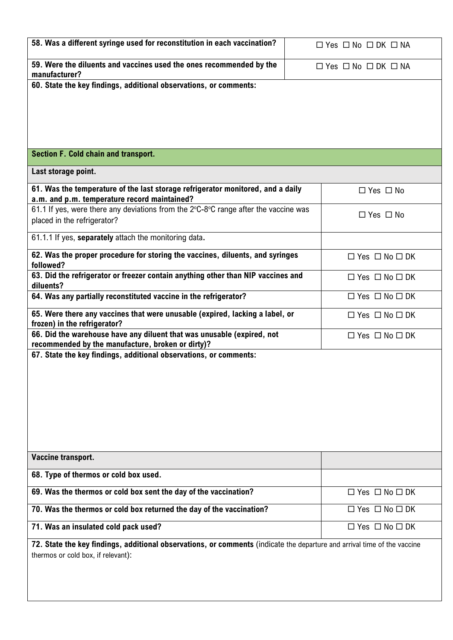| 58. Was a different syringe used for reconstitution in each vaccination?                                                                                       | $\Box$ Yes $\Box$ No $\Box$ DK $\Box$ NA |
|----------------------------------------------------------------------------------------------------------------------------------------------------------------|------------------------------------------|
| 59. Were the diluents and vaccines used the ones recommended by the<br>manufacturer?                                                                           | $\Box$ Yes $\Box$ No $\Box$ DK $\Box$ NA |
| 60. State the key findings, additional observations, or comments:                                                                                              |                                          |
|                                                                                                                                                                |                                          |
|                                                                                                                                                                |                                          |
| Section F. Cold chain and transport.                                                                                                                           |                                          |
| Last storage point.                                                                                                                                            |                                          |
| 61. Was the temperature of the last storage refrigerator monitored, and a daily<br>a.m. and p.m. temperature record maintained?                                | $\Box$ Yes $\Box$ No                     |
| 61.1 If yes, were there any deviations from the 2°C-8°C range after the vaccine was<br>placed in the refrigerator?                                             | $\Box$ Yes $\Box$ No                     |
| 61.1.1 If yes, separately attach the monitoring data.                                                                                                          |                                          |
| 62. Was the proper procedure for storing the vaccines, diluents, and syringes<br>followed?                                                                     | $\Box$ Yes $\Box$ No $\Box$ DK           |
| 63. Did the refrigerator or freezer contain anything other than NIP vaccines and<br>diluents?                                                                  | $\Box$ Yes $\Box$ No $\Box$ DK           |
| 64. Was any partially reconstituted vaccine in the refrigerator?                                                                                               | $\Box$ Yes $\Box$ No $\Box$ DK           |
| 65. Were there any vaccines that were unusable (expired, lacking a label, or<br>frozen) in the refrigerator?                                                   | $\Box$ Yes $\Box$ No $\Box$ DK           |
| 66. Did the warehouse have any diluent that was unusable (expired, not<br>recommended by the manufacture, broken or dirty)?                                    | $\Box$ Yes $\Box$ No $\Box$ DK           |
| 67. State the key findings, additional observations, or comments:                                                                                              |                                          |
|                                                                                                                                                                |                                          |
|                                                                                                                                                                |                                          |
|                                                                                                                                                                |                                          |
|                                                                                                                                                                |                                          |
| Vaccine transport.                                                                                                                                             |                                          |
| 68. Type of thermos or cold box used.                                                                                                                          |                                          |
| 69. Was the thermos or cold box sent the day of the vaccination?                                                                                               | $\Box$ Yes $\Box$ No $\Box$ DK           |
| 70. Was the thermos or cold box returned the day of the vaccination?                                                                                           | $\Box$ Yes $\Box$ No $\Box$ DK           |
| 71. Was an insulated cold pack used?                                                                                                                           | $\Box$ Yes $\Box$ No $\Box$ DK           |
| 72. State the key findings, additional observations, or comments (indicate the departure and arrival time of the vaccine<br>thermos or cold box, if relevant): |                                          |
|                                                                                                                                                                |                                          |
|                                                                                                                                                                |                                          |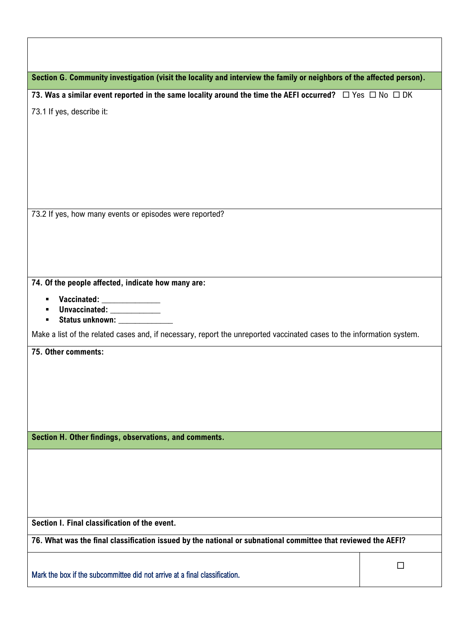| Section G. Community investigation (visit the locality and interview the family or neighbors of the affected person).   |        |
|-------------------------------------------------------------------------------------------------------------------------|--------|
| 73. Was a similar event reported in the same locality around the time the AEFI occurred? $\Box$ Yes $\Box$ No $\Box$ DK |        |
| 73.1 If yes, describe it:                                                                                               |        |
|                                                                                                                         |        |
|                                                                                                                         |        |
|                                                                                                                         |        |
|                                                                                                                         |        |
|                                                                                                                         |        |
| 73.2 If yes, how many events or episodes were reported?                                                                 |        |
|                                                                                                                         |        |
|                                                                                                                         |        |
|                                                                                                                         |        |
| 74. Of the people affected, indicate how many are:                                                                      |        |
| Vaccinated: ______________<br>п<br>Unvaccinated: _____________                                                          |        |
| Status unknown: ________________<br>п                                                                                   |        |
| Make a list of the related cases and, if necessary, report the unreported vaccinated cases to the information system.   |        |
| 75. Other comments:                                                                                                     |        |
|                                                                                                                         |        |
|                                                                                                                         |        |
|                                                                                                                         |        |
|                                                                                                                         |        |
| Section H. Other findings, observations, and comments.                                                                  |        |
|                                                                                                                         |        |
|                                                                                                                         |        |
|                                                                                                                         |        |
|                                                                                                                         |        |
| Section I. Final classification of the event.                                                                           |        |
| 76. What was the final classification issued by the national or subnational committee that reviewed the AEFI?           |        |
|                                                                                                                         | $\Box$ |
| Mark the box if the subcommittee did not arrive at a final classification.                                              |        |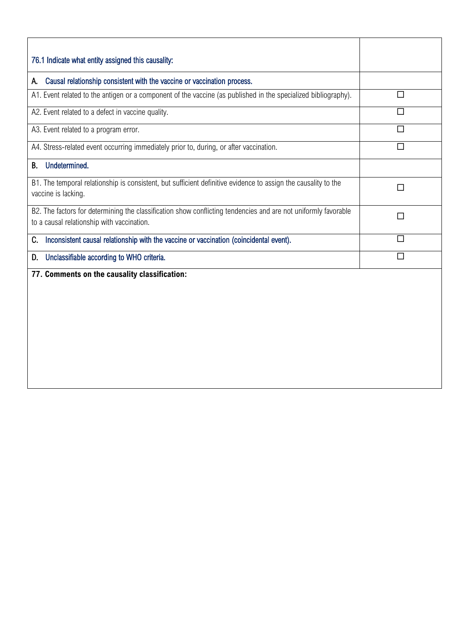| 76.1 Indicate what entity assigned this causality:                                                                                                           |   |
|--------------------------------------------------------------------------------------------------------------------------------------------------------------|---|
| Causal relationship consistent with the vaccine or vaccination process.<br>А.                                                                                |   |
| A1. Event related to the antigen or a component of the vaccine (as published in the specialized bibliography).                                               | П |
| A2. Event related to a defect in vaccine quality.                                                                                                            | П |
| A3. Event related to a program error.                                                                                                                        | П |
| A4. Stress-related event occurring immediately prior to, during, or after vaccination.                                                                       | П |
| Undetermined.<br>В.                                                                                                                                          |   |
| B1. The temporal relationship is consistent, but sufficient definitive evidence to assign the causality to the<br>vaccine is lacking.                        | П |
| B2. The factors for determining the classification show conflicting tendencies and are not uniformly favorable<br>to a causal relationship with vaccination. | П |
| Inconsistent causal relationship with the vaccine or vaccination (coincidental event).<br>C.                                                                 | П |
| Unclassifiable according to WHO criteria.<br>D.                                                                                                              | П |
| 77. Comments on the causality classification:                                                                                                                |   |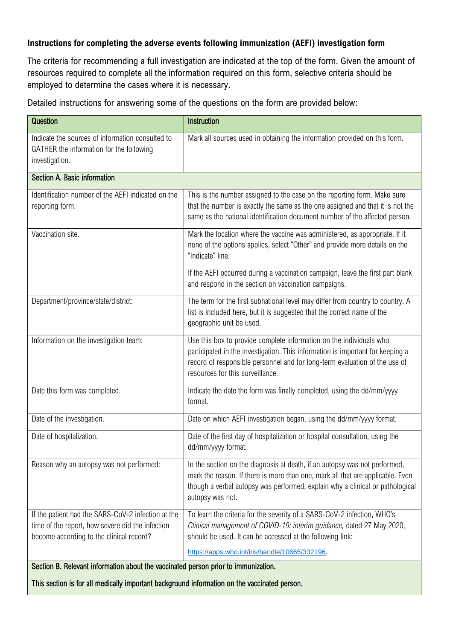#### **Instructions for completing the adverse events following immunization (AEFI) investigation form**

The criteria for recommending a full investigation are indicated at the top of the form. Given the amount of resources required to complete all the information required on this form, selective criteria should be employed to determine the cases where it is necessary.

Detailed instructions for answering some of the questions on the form are provided below:

| Question                                                                                                                                           | Instruction                                                                                                                                                                                                                                                             |  |
|----------------------------------------------------------------------------------------------------------------------------------------------------|-------------------------------------------------------------------------------------------------------------------------------------------------------------------------------------------------------------------------------------------------------------------------|--|
| Indicate the sources of information consulted to<br>GATHER the information for the following<br>investigation.                                     | Mark all sources used in obtaining the information provided on this form.                                                                                                                                                                                               |  |
| Section A. Basic information                                                                                                                       |                                                                                                                                                                                                                                                                         |  |
| Identification number of the AEFI indicated on the<br>reporting form.                                                                              | This is the number assigned to the case on the reporting form. Make sure<br>that the number is exactly the same as the one assigned and that it is not the<br>same as the national identification document number of the affected person.                               |  |
| Vaccination site.                                                                                                                                  | Mark the location where the vaccine was administered, as appropriate. If it<br>none of the options applies, select "Other" and provide more details on the<br>"Indicate" line.                                                                                          |  |
|                                                                                                                                                    | If the AEFI occurred during a vaccination campaign, leave the first part blank<br>and respond in the section on vaccination campaigns.                                                                                                                                  |  |
| Department/province/state/district:                                                                                                                | The term for the first subnational level may differ from country to country. A<br>list is included here, but it is suggested that the correct name of the<br>geographic unit be used.                                                                                   |  |
| Information on the investigation team:                                                                                                             | Use this box to provide complete information on the individuals who<br>participated in the investigation. This information is important for keeping a<br>record of responsible personnel and for long-term evaluation of the use of<br>resources for this surveillance. |  |
| Date this form was completed.                                                                                                                      | Indicate the date the form was finally completed, using the dd/mm/yyyy<br>format.                                                                                                                                                                                       |  |
| Date of the investigation.                                                                                                                         | Date on which AEFI investigation began, using the dd/mm/yyyy format.                                                                                                                                                                                                    |  |
| Date of hospitalization.                                                                                                                           | Date of the first day of hospitalization or hospital consultation, using the<br>dd/mm/yyyy format.                                                                                                                                                                      |  |
| Reason why an autopsy was not performed:                                                                                                           | In the section on the diagnosis at death, if an autopsy was not performed,<br>mark the reason. If there is more than one, mark all that are applicable. Even<br>though a verbal autopsy was performed, explain why a clinical or pathological<br>autopsy was not.       |  |
| If the patient had the SARS-CoV-2 infection at the<br>time of the report, how severe did the infection<br>become according to the clinical record? | To learn the criteria for the severity of a SARS-CoV-2 infection, WHO's<br>Clinical management of COVID-19: interim guidance, dated 27 May 2020,<br>should be used. It can be accessed at the following link:                                                           |  |
|                                                                                                                                                    | https://apps.who.int/iris/handle/10665/332196.                                                                                                                                                                                                                          |  |
| Section B. Relevant information about the vaccinated person prior to immunization.                                                                 |                                                                                                                                                                                                                                                                         |  |

This section is for all medically important background information on the vaccinated person.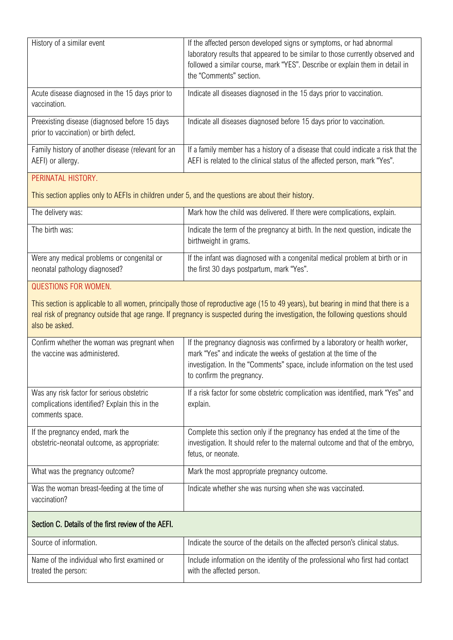| History of a similar event                                                               | If the affected person developed signs or symptoms, or had abnormal               |
|------------------------------------------------------------------------------------------|-----------------------------------------------------------------------------------|
|                                                                                          | laboratory results that appeared to be similar to those currently observed and    |
|                                                                                          | followed a similar course, mark "YES". Describe or explain them in detail in      |
|                                                                                          | the "Comments" section.                                                           |
| Acute disease diagnosed in the 15 days prior to<br>vaccination.                          | Indicate all diseases diagnosed in the 15 days prior to vaccination.              |
|                                                                                          |                                                                                   |
| Preexisting disease (diagnosed before 15 days)<br>prior to vaccination) or birth defect. | Indicate all diseases diagnosed before 15 days prior to vaccination.              |
| Family history of another disease (relevant for an                                       | If a family member has a history of a disease that could indicate a risk that the |
| AEFI) or allergy.                                                                        | AEFI is related to the clinical status of the affected person, mark "Yes".        |
| DEDIMATAL HICTODY                                                                        |                                                                                   |

#### PERINATAL HISTORY.

This section applies only to AEFIs in children under 5, and the questions are about their history.

| The delivery was:                                                           | Mark how the child was delivered. If there were complications, explain.                                                   |
|-----------------------------------------------------------------------------|---------------------------------------------------------------------------------------------------------------------------|
| The birth was:                                                              | Indicate the term of the pregnancy at birth. In the next question, indicate the<br>birthweight in grams.                  |
| Were any medical problems or congenital or<br>neonatal pathology diagnosed? | If the infant was diagnosed with a congenital medical problem at birth or in<br>the first 30 days postpartum, mark "Yes". |

#### QUESTIONS FOR WOMEN.

This section is applicable to all women, principally those of reproductive age (15 to 49 years), but bearing in mind that there is a real risk of pregnancy outside that age range. If pregnancy is suspected during the investigation, the following questions should also be asked.

| Confirm whether the woman was pregnant when<br>the vaccine was administered.                                  | If the pregnancy diagnosis was confirmed by a laboratory or health worker,<br>mark "Yes" and indicate the weeks of gestation at the time of the<br>investigation. In the "Comments" space, include information on the test used<br>to confirm the pregnancy. |
|---------------------------------------------------------------------------------------------------------------|--------------------------------------------------------------------------------------------------------------------------------------------------------------------------------------------------------------------------------------------------------------|
| Was any risk factor for serious obstetric<br>complications identified? Explain this in the<br>comments space. | If a risk factor for some obstetric complication was identified, mark "Yes" and<br>explain.                                                                                                                                                                  |
| If the pregnancy ended, mark the<br>obstetric-neonatal outcome, as appropriate:                               | Complete this section only if the pregnancy has ended at the time of the<br>investigation. It should refer to the maternal outcome and that of the embryo,<br>fetus, or neonate.                                                                             |
| What was the pregnancy outcome?                                                                               | Mark the most appropriate pregnancy outcome.                                                                                                                                                                                                                 |
| Was the woman breast-feeding at the time of<br>vaccination?                                                   | Indicate whether she was nursing when she was vaccinated.                                                                                                                                                                                                    |

### Section C. Details of the first review of the AEFI.

| Source of information.                       | Indicate the source of the details on the affected person's clinical status.  |
|----------------------------------------------|-------------------------------------------------------------------------------|
| Name of the individual who first examined or | Include information on the identity of the professional who first had contact |
| treated the person:                          | with the affected person.                                                     |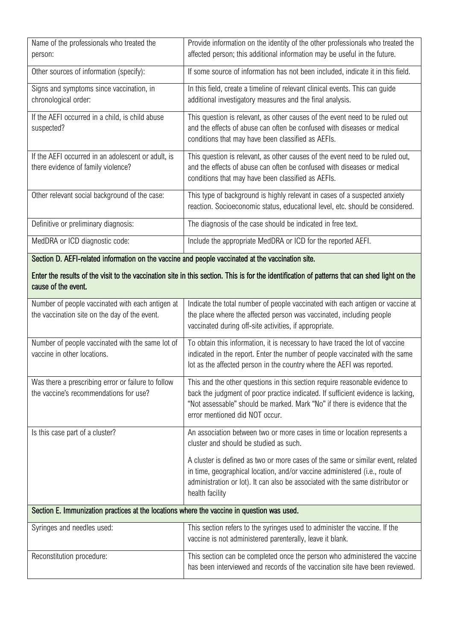| Name of the professionals who treated the<br>person:                                              | Provide information on the identity of the other professionals who treated the<br>affected person; this additional information may be useful in the future.                                                                                                                     |  |
|---------------------------------------------------------------------------------------------------|---------------------------------------------------------------------------------------------------------------------------------------------------------------------------------------------------------------------------------------------------------------------------------|--|
| Other sources of information (specify):                                                           | If some source of information has not been included, indicate it in this field.                                                                                                                                                                                                 |  |
| Signs and symptoms since vaccination, in<br>chronological order:                                  | In this field, create a timeline of relevant clinical events. This can guide<br>additional investigatory measures and the final analysis.                                                                                                                                       |  |
| If the AEFI occurred in a child, is child abuse<br>suspected?                                     | This question is relevant, as other causes of the event need to be ruled out<br>and the effects of abuse can often be confused with diseases or medical<br>conditions that may have been classified as AEFIs.                                                                   |  |
| If the AEFI occurred in an adolescent or adult, is<br>there evidence of family violence?          | This question is relevant, as other causes of the event need to be ruled out,<br>and the effects of abuse can often be confused with diseases or medical<br>conditions that may have been classified as AEFIs.                                                                  |  |
| Other relevant social background of the case:                                                     | This type of background is highly relevant in cases of a suspected anxiety<br>reaction. Socioeconomic status, educational level, etc. should be considered.                                                                                                                     |  |
| Definitive or preliminary diagnosis:                                                              | The diagnosis of the case should be indicated in free text.                                                                                                                                                                                                                     |  |
| MedDRA or ICD diagnostic code:                                                                    | Include the appropriate MedDRA or ICD for the reported AEFI.                                                                                                                                                                                                                    |  |
| Section D. AEFI-related information on the vaccine and people vaccinated at the vaccination site. |                                                                                                                                                                                                                                                                                 |  |
| cause of the event.                                                                               | Enter the results of the visit to the vaccination site in this section. This is for the identification of patterns that can shed light on the                                                                                                                                   |  |
| Number of people vaccinated with each antigen at<br>the vaccination site on the day of the event. | Indicate the total number of people vaccinated with each antigen or vaccine at<br>the place where the affected person was vaccinated, including people<br>vaccinated during off-site activities, if appropriate.                                                                |  |
| Number of people vaccinated with the same lot of<br>vaccine in other locations.                   | To obtain this information, it is necessary to have traced the lot of vaccine<br>indicated in the report. Enter the number of people vaccinated with the same<br>lot as the affected person in the country where the AEFI was reported.                                         |  |
| Was there a prescribing error or failure to follow<br>the vaccine's recommendations for use?      | This and the other questions in this section require reasonable evidence to<br>back the judgment of poor practice indicated. If sufficient evidence is lacking,<br>"Not assessable" should be marked. Mark "No" if there is evidence that the<br>error mentioned did NOT occur. |  |
| Is this case part of a cluster?                                                                   | An association between two or more cases in time or location represents a<br>cluster and should be studied as such.                                                                                                                                                             |  |
|                                                                                                   | A cluster is defined as two or more cases of the same or similar event, related<br>in time, geographical location, and/or vaccine administered (i.e., route of<br>administration or lot). It can also be associated with the same distributor or<br>health facility             |  |
| Section E. Immunization practices at the locations where the vaccine in question was used.        |                                                                                                                                                                                                                                                                                 |  |
| Syringes and needles used:                                                                        | This section refers to the syringes used to administer the vaccine. If the<br>vaccine is not administered parenterally, leave it blank.                                                                                                                                         |  |
| Reconstitution procedure:                                                                         | This section can be completed once the person who administered the vaccine<br>has been interviewed and records of the vaccination site have been reviewed.                                                                                                                      |  |